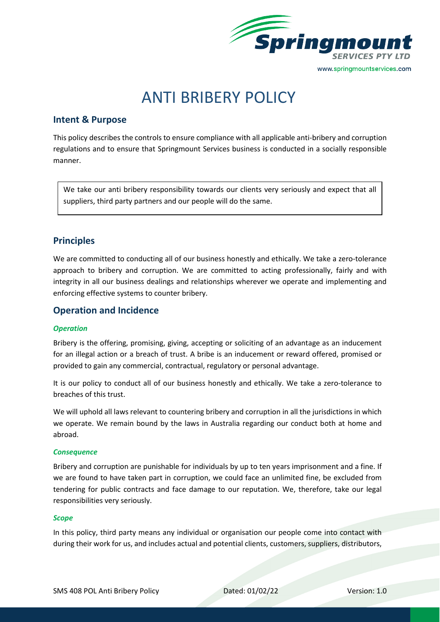

# ANTI BRIBERY POLICY

## **Intent & Purpose**

This policy describes the controls to ensure compliance with all applicable anti-bribery and corruption regulations and to ensure that Springmount Services business is conducted in a socially responsible manner.

We take our anti bribery responsibility towards our clients very seriously and expect that all suppliers, third party partners and our people will do the same.

## **Principles**

We are committed to conducting all of our business honestly and ethically. We take a zero-tolerance approach to bribery and corruption. We are committed to acting professionally, fairly and with integrity in all our business dealings and relationships wherever we operate and implementing and enforcing effective systems to counter bribery.

## **Operation and Incidence**

#### *Operation*

Bribery is the offering, promising, giving, accepting or soliciting of an advantage as an inducement for an illegal action or a breach of trust. A bribe is an inducement or reward offered, promised or provided to gain any commercial, contractual, regulatory or personal advantage.

It is our policy to conduct all of our business honestly and ethically. We take a zero-tolerance to breaches of this trust.

We will uphold all laws relevant to countering bribery and corruption in all the jurisdictions in which we operate. We remain bound by the laws in Australia regarding our conduct both at home and abroad.

#### *Consequence*

Bribery and corruption are punishable for individuals by up to ten years imprisonment and a fine. If we are found to have taken part in corruption, we could face an unlimited fine, be excluded from tendering for public contracts and face damage to our reputation. We, therefore, take our legal responsibilities very seriously.

#### *Scope*

In this policy, third party means any individual or organisation our people come into contact with during their work for us, and includes actual and potential clients, customers, suppliers, distributors,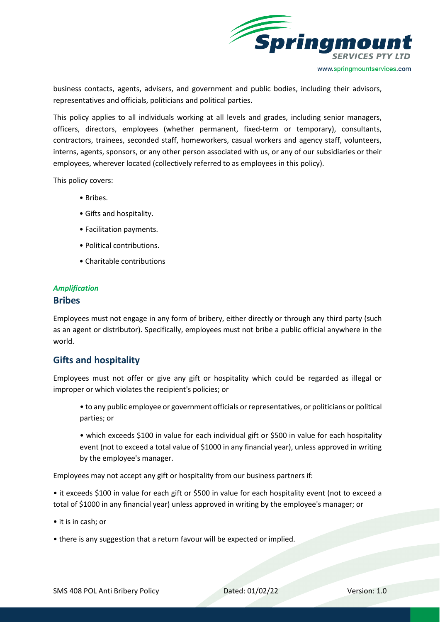

business contacts, agents, advisers, and government and public bodies, including their advisors, representatives and officials, politicians and political parties.

This policy applies to all individuals working at all levels and grades, including senior managers, officers, directors, employees (whether permanent, fixed-term or temporary), consultants, contractors, trainees, seconded staff, homeworkers, casual workers and agency staff, volunteers, interns, agents, sponsors, or any other person associated with us, or any of our subsidiaries or their employees, wherever located (collectively referred to as employees in this policy).

This policy covers:

- Bribes.
- Gifts and hospitality.
- Facilitation payments.
- Political contributions.
- Charitable contributions

## *Amplification*

#### **Bribes**

Employees must not engage in any form of bribery, either directly or through any third party (such as an agent or distributor). Specifically, employees must not bribe a public official anywhere in the world.

## **Gifts and hospitality**

Employees must not offer or give any gift or hospitality which could be regarded as illegal or improper or which violates the recipient's policies; or

- to any public employee or government officials or representatives, or politicians or political parties; or
- which exceeds \$100 in value for each individual gift or \$500 in value for each hospitality event (not to exceed a total value of \$1000 in any financial year), unless approved in writing by the employee's manager.

Employees may not accept any gift or hospitality from our business partners if:

• it exceeds \$100 in value for each gift or \$500 in value for each hospitality event (not to exceed a total of \$1000 in any financial year) unless approved in writing by the employee's manager; or

- it is in cash; or
- there is any suggestion that a return favour will be expected or implied.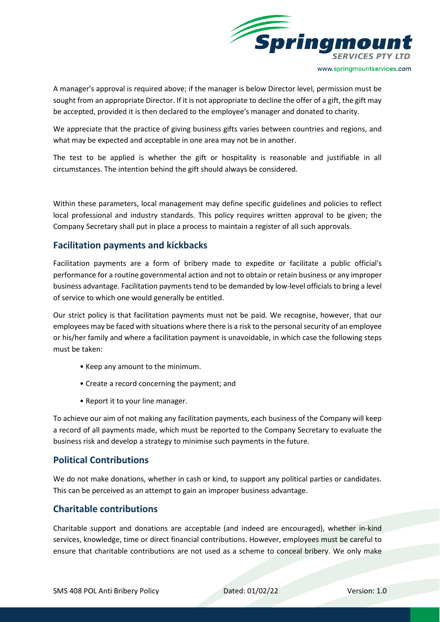

A manager's approval is required above; if the manager is below Director level, permission must be sought from an appropriate Director. If it is not appropriate to decline the offer of a gift, the gift may be accepted, provided it is then declared to the employee's manager and donated to charity.

We appreciate that the practice of giving business gifts varies between countries and regions, and what may be expected and acceptable in one area may not be in another.

The test to be applied is whether the gift or hospitality is reasonable and justifiable in all circumstances. The intention behind the gift should always be considered.

Within these parameters, local management may define specific guidelines and policies to reflect local professional and industry standards. This policy requires written approval to be given; the Company Secretary shall put in place a process to maintain a register of all such approvals.

## **Facilitation payments and kickbacks**

Facilitation payments are a form of bribery made to expedite or facilitate a public official's performance for a routine governmental action and not to obtain or retain business or any improper business advantage. Facilitation payments tend to be demanded by low-level officials to bring a level of service to which one would generally be entitled.

Our strict policy is that facilitation payments must not be paid. We recognise, however, that our employees may be faced with situations where there is a risk to the personal security of an employee or his/her family and where a facilitation payment is unavoidable, in which case the following steps must be taken:

- Keep any amount to the minimum.
- Create a record concerning the payment; and
- Report it to your line manager.

To achieve our aim of not making any facilitation payments, each business of the Company will keep a record of all payments made, which must be reported to the Company Secretary to evaluate the business risk and develop a strategy to minimise such payments in the future.

## **Political Contributions**

We do not make donations, whether in cash or kind, to support any political parties or candidates. This can be perceived as an attempt to gain an improper business advantage.

## **Charitable contributions**

Charitable support and donations are acceptable (and indeed are encouraged), whether in-kind services, knowledge, time or direct financial contributions. However, employees must be careful to ensure that charitable contributions are not used as a scheme to conceal bribery. We only make